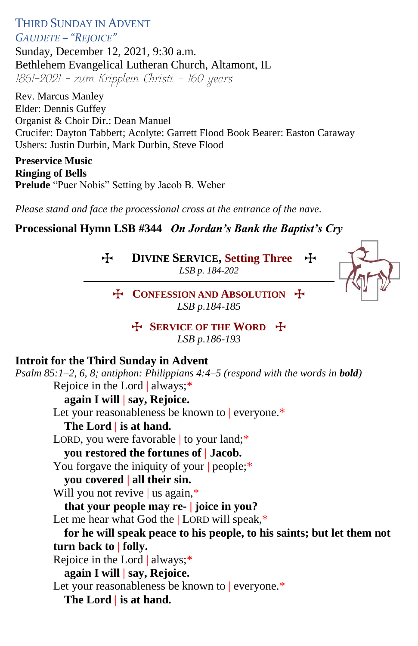THIRD SUNDAY IN ADVENT *GAUDETE – "REJOICE"*

Sunday, December 12, 2021, 9:30 a.m. Bethlehem Evangelical Lutheran Church, Altamont, IL 1861-2021 - zum Kripplein Christi - 160 years

Rev. Marcus Manley Elder: Dennis Guffey Organist & Choir Dir.: Dean Manuel Crucifer: Dayton Tabbert; Acolyte: Garrett Flood Book Bearer: Easton Caraway Ushers: Justin Durbin, Mark Durbin, Steve Flood

**Preservice Music Ringing of Bells Prelude** "Puer Nobis" Setting by Jacob B. Weber

*Please stand and face the processional cross at the entrance of the nave.*

### **Processional Hymn LSB #344** *On Jordan's Bank the Baptist's Cry*

T **DIVINE SERVICE, Setting Three** T

*LSB p. 184-202*



T **CONFESSION AND ABSOLUTION** T *LSB p.184-185*

> **EXPICE OF THE WORD** *LSB p.186-193*

#### **Introit for the Third Sunday in Advent**

*Psalm 85:1–2, 6, 8; antiphon: Philippians 4:4–5 (respond with the words in bold)* Rejoice in the Lord | always;\* **again I will | say, Rejoice.** Let your reasonableness be known to everyone.\* **The Lord | is at hand.** LORD, you were favorable to your land;\* **you restored the fortunes of | Jacob.** You forgave the iniquity of your people;\* **you covered | all their sin.** Will you not revive | us again,\* **that your people may re- | joice in you?** Let me hear what God the | LORD will speak,\* **for he will speak peace to his people, to his saints; but let them not turn back to | folly.** Rejoice in the Lord | always;\* **again I will | say, Rejoice.** Let your reasonableness be known to | everyone.\* **The Lord | is at hand.**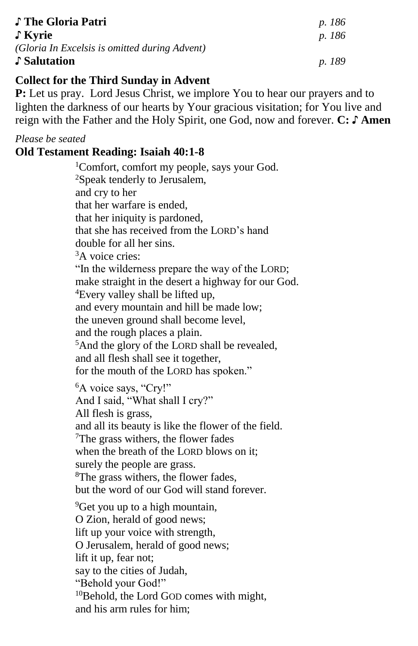| ♪ The Gloria Patri                            | p. 186        |
|-----------------------------------------------|---------------|
| $\int$ Kyrie                                  | <i>p.</i> 186 |
| (Gloria In Excelsis is omitted during Advent) |               |
| Salutation                                    | <i>p.</i> 189 |

### **Collect for the Third Sunday in Advent**

**P:** Let us pray.Lord Jesus Christ, we implore You to hear our prayers and to lighten the darkness of our hearts by Your gracious visitation; for You live and reign with the Father and the Holy Spirit, one God, now and forever. **C: ♪ Amen**

#### *Please be seated*

#### **Old Testament Reading: Isaiah 40:1-8**

<sup>1</sup>Comfort, comfort my people, says your God. <sup>2</sup>Speak tenderly to Jerusalem, and cry to her that her warfare is ended, that her iniquity is pardoned, that she has received from the LORD's hand double for all her sins. <sup>3</sup>A voice cries: "In the wilderness prepare the way of the LORD; make straight in the desert a highway for our God. <sup>4</sup>Every valley shall be lifted up, and every mountain and hill be made low; the uneven ground shall become level, and the rough places a plain. <sup>5</sup>And the glory of the LORD shall be revealed, and all flesh shall see it together, for the mouth of the LORD has spoken." <sup>6</sup>A voice says, "Cry!" And I said, "What shall I cry?" All flesh is grass, and all its beauty is like the flower of the field. <sup>7</sup>The grass withers, the flower fades when the breath of the LORD blows on it; surely the people are grass. <sup>8</sup>The grass withers, the flower fades, but the word of our God will stand forever. <sup>9</sup>Get you up to a high mountain, O Zion, herald of good news; lift up your voice with strength, O Jerusalem, herald of good news; lift it up, fear not; say to the cities of Judah,

"Behold your God!" <sup>10</sup>Behold, the Lord GOD comes with might,

and his arm rules for him;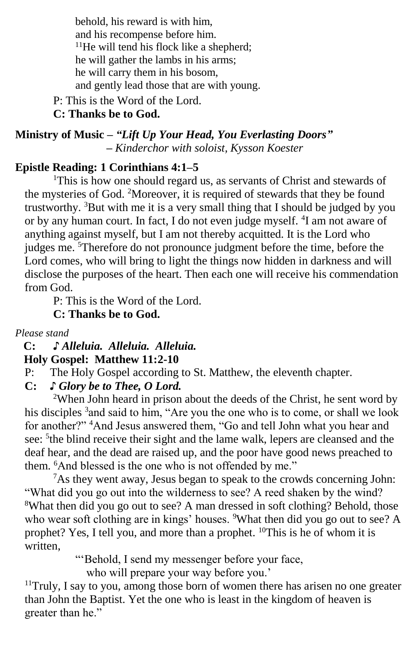behold, his reward is with him, and his recompense before him. <sup>11</sup>He will tend his flock like a shepherd; he will gather the lambs in his arms; he will carry them in his bosom, and gently lead those that are with young.

P: This is the Word of the Lord. **C: Thanks be to God.**

**Ministry of Music –** *"Lift Up Your Head, You Everlasting Doors"*  *– Kinderchor with soloist, Kysson Koester*

# **Epistle Reading: 1 Corinthians 4:1–5**

<sup>1</sup>This is how one should regard us, as servants of Christ and stewards of the mysteries of God. <sup>2</sup>Moreover, it is required of stewards that they be found trustworthy. <sup>3</sup>But with me it is a very small thing that I should be judged by you or by any human court. In fact, I do not even judge myself. <sup>4</sup>I am not aware of anything against myself, but I am not thereby acquitted. It is the Lord who judges me. <sup>5</sup>Therefore do not pronounce judgment before the time, before the Lord comes, who will bring to light the things now hidden in darkness and will disclose the purposes of the heart. Then each one will receive his commendation from God.

P: This is the Word of the Lord.

**C: Thanks be to God.**

*Please stand*

 **C: ♪** *Alleluia. Alleluia. Alleluia.*  **Holy Gospel: Matthew 11:2-10**

P: The Holy Gospel according to St. Matthew, the eleventh chapter.

**C:** *♪ Glory be to Thee, O Lord.*

<sup>2</sup>When John heard in prison about the deeds of the Christ, he sent word by his disciples <sup>3</sup> and said to him, "Are you the one who is to come, or shall we look for another?" <sup>4</sup>And Jesus answered them, "Go and tell John what you hear and see: <sup>5</sup> the blind receive their sight and the lame walk, lepers are cleansed and the deaf hear, and the dead are raised up, and the poor have good news preached to them. <sup>6</sup>And blessed is the one who is not offended by me."

<sup>7</sup>As they went away, Jesus began to speak to the crowds concerning John: "What did you go out into the wilderness to see? A reed shaken by the wind? <sup>8</sup>What then did you go out to see? A man dressed in soft clothing? Behold, those who wear soft clothing are in kings' houses. <sup>9</sup>What then did you go out to see? A prophet? Yes, I tell you, and more than a prophet. <sup>10</sup>This is he of whom it is written,

"'Behold, I send my messenger before your face,

who will prepare your way before you.'

<sup>11</sup>Truly, I say to you, among those born of women there has arisen no one greater than John the Baptist. Yet the one who is least in the kingdom of heaven is greater than he."